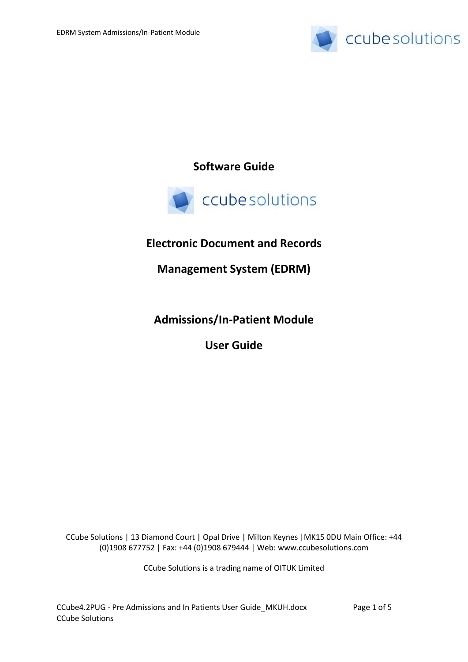

**Software Guide**



# **Electronic Document and Records**

**Management System (EDRM)**

**Admissions/In-Patient Module** 

**User Guide**

CCube Solutions | 13 Diamond Court | Opal Drive | Milton Keynes |MK15 0DU Main Office: +44 (0)1908 677752 | Fax: +44 (0)1908 679444 | Web: www.ccubesolutions.com

CCube Solutions is a trading name of OITUK Limited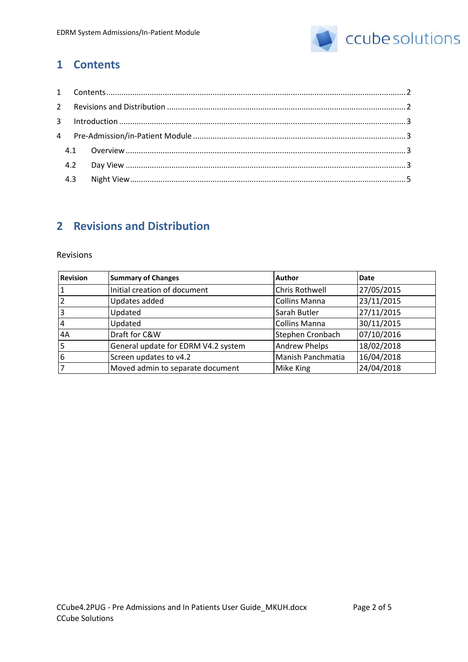

## <span id="page-1-0"></span>**1 Contents**

## <span id="page-1-1"></span>**2 Revisions and Distribution**

#### Revisions

| <b>Revision</b> | <b>Summary of Changes</b>           | <b>Author</b>         | Date       |
|-----------------|-------------------------------------|-----------------------|------------|
| 1               | Initial creation of document        | <b>Chris Rothwell</b> | 27/05/2015 |
| $\overline{2}$  | Updates added                       | <b>Collins Manna</b>  | 23/11/2015 |
| 3               | Updated                             | Sarah Butler          | 27/11/2015 |
| 14              | Updated                             | <b>Collins Manna</b>  | 30/11/2015 |
| 4A              | Draft for C&W                       | Stephen Cronbach      | 07/10/2016 |
| 5               | General update for EDRM V4.2 system | <b>Andrew Phelps</b>  | 18/02/2018 |
| 6               | Screen updates to v4.2              | Manish Panchmatia     | 16/04/2018 |
|                 | Moved admin to separate document    | Mike King             | 24/04/2018 |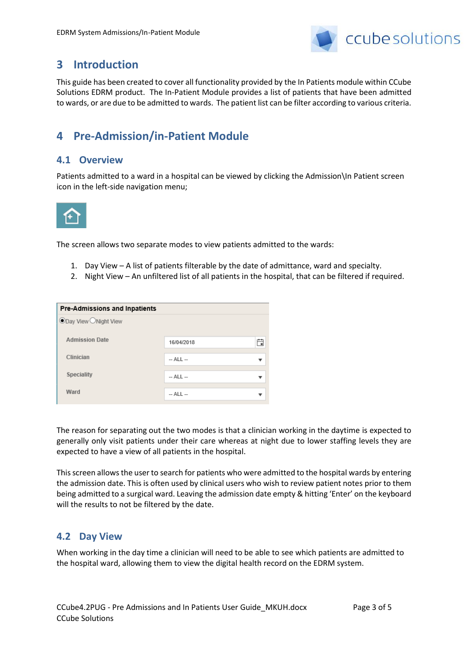

### <span id="page-2-0"></span>**3 Introduction**

This guide has been created to cover all functionality provided by the In Patients module within CCube Solutions EDRM product. The In-Patient Module provides a list of patients that have been admitted to wards, or are due to be admitted to wards. The patient list can be filter according to various criteria.

# <span id="page-2-1"></span>**4 Pre-Admission/in-Patient Module**

### <span id="page-2-2"></span>**4.1 Overview**

Patients admitted to a ward in a hospital can be viewed by clicking the Admission\In Patient screen icon in the left-side navigation menu;



The screen allows two separate modes to view patients admitted to the wards:

- 1. Day View A list of patients filterable by the date of admittance, ward and specialty.
- 2. Night View An unfiltered list of all patients in the hospital, that can be filtered if required.

| Pre-Admissions and Inpatients |             |   |  |  |
|-------------------------------|-------------|---|--|--|
| <b>ODay View ONight View</b>  |             |   |  |  |
| <b>Admission Date</b>         | 16/04/2018  | 自 |  |  |
| Clinician                     | $-$ ALL $-$ |   |  |  |
| <b>Speciality</b>             | $-$ ALL $-$ |   |  |  |
| Ward                          | $-$ ALL $-$ |   |  |  |

The reason for separating out the two modes is that a clinician working in the daytime is expected to generally only visit patients under their care whereas at night due to lower staffing levels they are expected to have a view of all patients in the hospital.

This screen allows the user to search for patients who were admitted to the hospital wards by entering the admission date. This is often used by clinical users who wish to review patient notes prior to them being admitted to a surgical ward. Leaving the admission date empty & hitting 'Enter' on the keyboard will the results to not be filtered by the date.

#### <span id="page-2-3"></span>**4.2 Day View**

When working in the day time a clinician will need to be able to see which patients are admitted to the hospital ward, allowing them to view the digital health record on the EDRM system.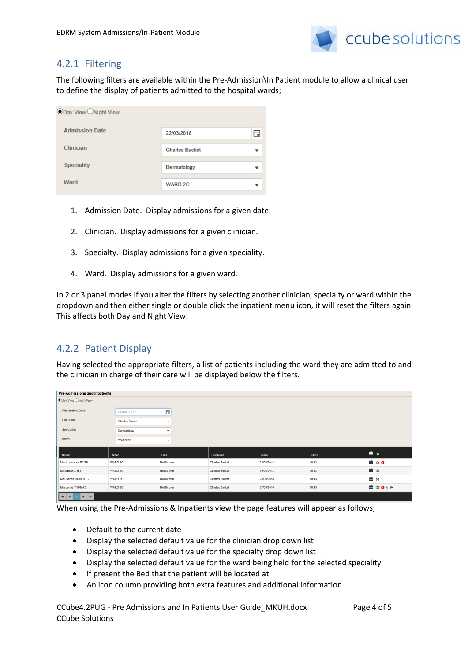

### 4.2.1 Filtering

The following filters are available within the Pre-Admission\In Patient module to allow a clinical user to define the display of patients admitted to the hospital wards;

| <b><i>SDay View ONight View</i></b> |                       |   |  |  |
|-------------------------------------|-----------------------|---|--|--|
| <b>Admission Date</b>               | 22/03/2018            |   |  |  |
| Clinician                           | <b>Charles Bucket</b> | ▼ |  |  |
| <b>Speciality</b>                   | Dermatology           |   |  |  |
| Ward                                | WARD 2C               |   |  |  |

- 1. Admission Date. Display admissions for a given date.
- 2. Clinician. Display admissions for a given clinician.
- 3. Specialty. Display admissions for a given speciality.
- 4. Ward. Display admissions for a given ward.

In 2 or 3 panel modes if you alter the filters by selecting another clinician, specialty or ward within the dropdown and then either single or double click the inpatient menu icon, it will reset the filters again This affects both Day and Night View.

### 4.2.2 Patient Display

Having selected the appropriate filters, a list of patients including the ward they are admitted to and the clinician in charge of their care will be displayed below the filters.

| Pre-Admissions and Inpatients |                       |                           |                       |            |       |                      |
|-------------------------------|-----------------------|---------------------------|-----------------------|------------|-------|----------------------|
| ODay View ONight View         |                       |                           |                       |            |       |                      |
| <b>Admission Date</b>         |                       |                           |                       |            |       |                      |
|                               | <b>DD/MM/YYYY</b>     | 自                         |                       |            |       |                      |
| Clinician                     | <b>Charles Bucket</b> | $\overline{\mathbf v}$    |                       |            |       |                      |
| Speciality                    | Dermatology           | $\blacktriangledown$      |                       |            |       |                      |
| Ward                          | WARD 2C               | $\boldsymbol{\mathrm{v}}$ |                       |            |       |                      |
|                               |                       |                           |                       |            |       |                      |
| Name                          | Ward                  | Bed                       | Clinician             | Date       | Time  | ।≞ ★                 |
| Mrs Constance FAITH           | WARD 2C               | Not Known                 | <b>Charles Bucket</b> | 22/03/2018 | 10:43 | $\triangleq \star o$ |
| Mr James GREY                 | WARD 2C               | Not Known                 | <b>Charles Bucket</b> | 30/03/2018 | 10:43 | ■☆                   |
| Mr Charles ROBERTS            | WARD 2C               | Not Known                 | <b>Charles Bucket</b> | 24/03/2018 | 10:43 | ■☆                   |
| Mrs Jenny THOMAS              | WARD 2C               | Not Known                 | <b>Charles Bucket</b> | 27/03/2018 | 10:43 | ■☆●&⊨                |
| <u> La La La La La L</u>      |                       |                           |                       |            |       |                      |

When using the Pre-Admissions & Inpatients view the page features will appear as follows;

- Default to the current date
- Display the selected default value for the clinician drop down list
- Display the selected default value for the specialty drop down list
- Display the selected default value for the ward being held for the selected speciality
- If present the Bed that the patient will be located at
- An icon column providing both extra features and additional information

CCube4.2PUG - Pre Admissions and In Patients User Guide\_MKUH.docx Page 4 of 5 CCube Solutions